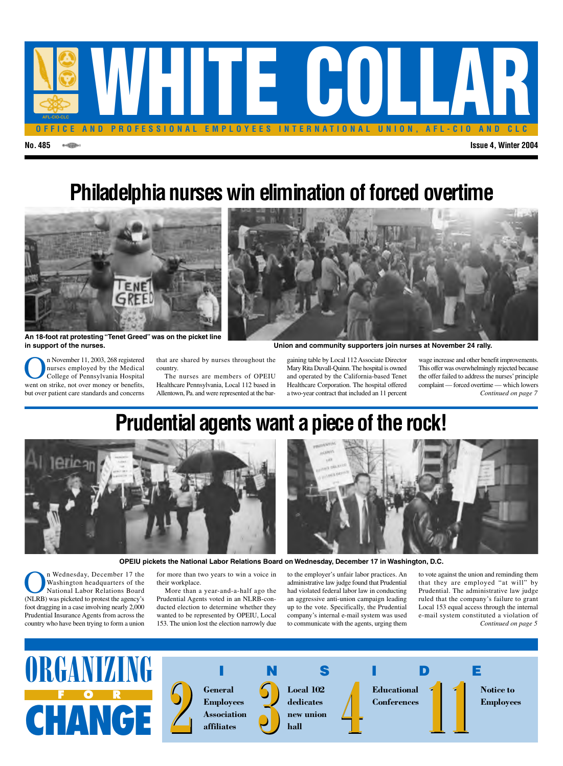

# **Philadelphia nurses win elimination of forced overtime**



**An 18-foot rat protesting "Tenet Greed" was on the picket line in support of the nurses. Union and community supporters join nurses at November 24 rally.**

**On** November 11, 2003, 268 registered<br>nurses employed by the Medical<br>College of Pennsylvania Hospital<br>went on strike not over money or benefits nurses employed by the Medical College of Pennsylvania Hospital went on strike, not over money or benefits, but over patient care standards and concerns that are shared by nurses throughout the country.

The nurses are members of OPEIU Healthcare Pennsylvania, Local 112 based in Allentown, Pa. and were represented at the bargaining table by Local 112 Associate Director Mary Rita Duvall-Quinn. The hospital is owned and operated by the California-based Tenet Healthcare Corporation. The hospital offered a two-year contract that included an 11 percent wage increase and other benefit improvements. This offer was overwhelmingly rejected because the offer failed to address the nurses'principle complaint — forced overtime — which lowers *Continued on page 7*

## **Prudential agents want a piece of the rock!**





**OPEIU pickets the National Labor Relations Board on Wednesday, December 17 in Washington, D.C.**

n Wednesday, December 17 the Washington headquarters of the National Labor Relations Board (NLRB) was picketed to protest the agency's foot dragging in a case involving nearly 2,000 Prudential Insurance Agents from across the country who have been trying to form a union

for more than two years to win a voice in their workplace.

More than a year-and-a-half ago the Prudential Agents voted in an NLRB-conducted election to determine whether they wanted to be represented by OPEIU, Local 153. The union lost the election narrowly due

to the employer's unfair labor practices. An administrative law judge found that Prudential had violated federal labor law in conducting an aggressive anti-union campaign leading up to the vote. Specifically, the Prudential company's internal e-mail system was used to communicate with the agents, urging them

*Continued on page 5* to vote against the union and reminding them that they are employed "at will" by Prudential. The administrative law judge ruled that the company's failure to grant Local 153 equal access through the internal e-mail system constituted a violation of

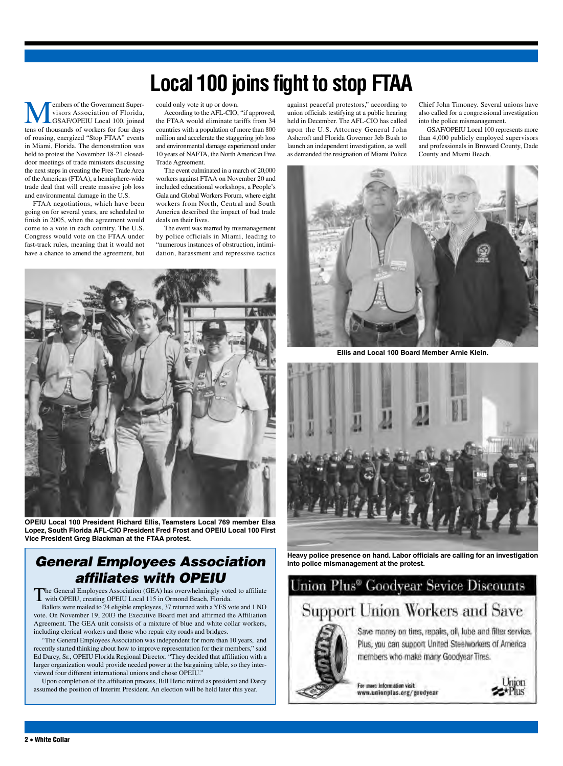## **Local100 joins fight to stop FTAA**

**Members of the Government Super-**<br>
Visors Association of Florida,<br>
GSAF/OPEIU Local 100, joined<br>
tens of thousands of workers for four days visors Association of Florida, GSAF/OPEIU Local 100, joined tens of thousands of workers for four days of rousing, energized "Stop FTAA" events in Miami, Florida. The demonstration was held to protest the November 18-21 closeddoor meetings of trade ministers discussing the next steps in creating the Free Trade Area of the Americas (FTAA), a hemisphere-wide trade deal that will create massive job loss and environmental damage in the U.S.

FTAA negotiations, which have been going on for several years, are scheduled to finish in 2005, when the agreement would come to a vote in each country. The U.S. Congress would vote on the FTAA under fast-track rules, meaning that it would not have a chance to amend the agreement, but could only vote it up or down.

According to the AFL-CIO, "if approved, the FTAA would eliminate tariffs from 34 countries with a population of more than 800 million and accelerate the staggering job loss and environmental damage experienced under 10 years of NAFTA, the North American Free Trade Agreement.

The event culminated in a march of 20,000 workers against FTAA on November 20 and included educational workshops, a People's Gala and Global Workers Forum, where eight workers from North, Central and South America described the impact of bad trade deals on their lives.

The event was marred by mismanagement by police officials in Miami, leading to "numerous instances of obstruction, intimidation, harassment and repressive tactics



**OPEIU Local 100 President Richard Ellis, Teamsters Local 769 member Elsa Lopez, South Florida AFL-CIO President Fred Frost and OPEIU Local 100 First Vice President Greg Blackman at the FTAA protest.**

#### *General Employees Association affiliates with OPEIU*

The General Employees Association (GEA) has overwhelmingly voted to affiliate with OPEIU, creating OPEIU Local 115 in Ormond Beach, Florida. Ballots were mailed to 74 eligible employees, 37 returned with aYES vote and 1 NO te. On November 19, 2003 the Executive Board met and affirmed the Affiliation Agreement. The GEA unit consists of a mixture of blue and white collar workers,

including clerical workers and those who repair city roads and bridges. "The General Employees Association was independent for more than 10 years, and recently started thinking about how to improve representation for their members," said

Ed Darcy, Sr., OPEIU Florida Regional Director. "They decided that affiliation with a larger organization would provide needed power at the bargaining table, so they interviewed four different international unions and chose OPEIU."

Upon completion of the affiliation process, Bill Heric retired as president and Darcy assumed the position of Interim President. An election will be held later this year.

against peaceful protestors," according to union officials testifying at a public hearing held in December. The AFL-CIO has called upon the U.S. Attorney General John Ashcroft and Florida Governor Jeb Bush to launch an independent investigation, as well as demanded the resignation of Miami Police

Chief John Timoney. Several unions have also called for a congressional investigation into the police mismanagement.

GSAF/OPEIU Local 100 represents more than 4,000 publicly employed supervisors and professionals in Broward County, Dade County and Miami Beach.



**Ellis and Local 100 Board Member Arnie Klein.**



**Heavy police presence on hand. Labor officials are calling for an investigation into police mismanagement at the protest.**

#### Union Plus<sup>®</sup> Goodyear Sevice Discounts

### **Support Union Workers and Save**



Save money on tires, repairs, oil, lube and filter service. Plus, you can support United Steelworkers of America members who make many Goodyear Tires.

For more information visit: www.unionplus.org/goodyear

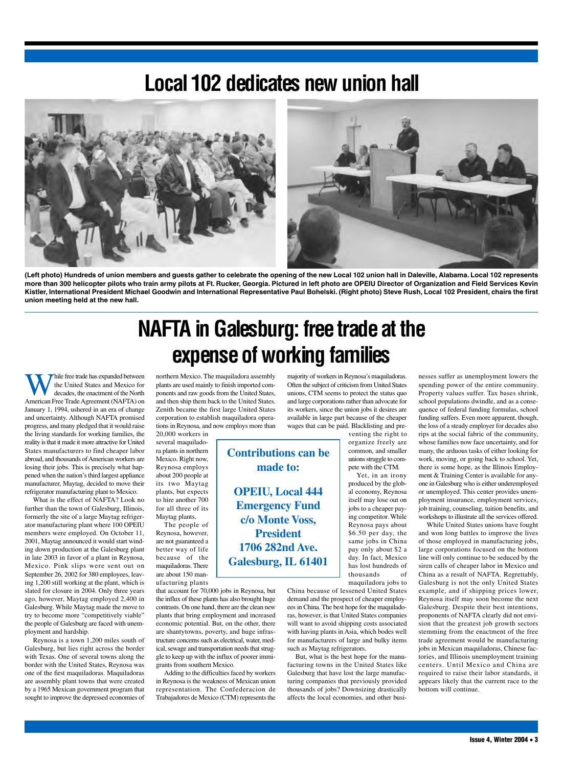### Local 102 dedicates new union hall



**(Left photo) Hundreds of union members and guests gather to celebrate the opening of the new Local 102 union hall in Daleville, Alabama. Local 102 represents more than 300 helicopter pilots who train army pilots at Ft. Rucker, Georgia. Pictured in left photo are OPEIU Director of Organization and Field Services Kevin Kistler, International President Michael Goodwin and International Representative Paul Bohelski. (Right photo) Steve Rush, Local 102 President, chairs the first union meeting held at the new hall.**

## **NAFTA in Galesburg: free trade at the expense of working families**

**Contributions can be**

**made to:**

**OPEIU, Local 444**

**Emergency Fund**

**c/o Monte Voss, President**

**1706 282nd Ave.**

**Galesburg, IL 61401**

hile free trade has expanded between the United States and Mexico for decades, the enactment of the North American Free Trade Agreement (NAFTA) on January 1, 1994, ushered in an era of change and uncertainty. Although NAFTA promised progress, and many pledged that it would raise the living standards for working families, the reality is that it made it more attractive for United States manufacturers to find cheaper labor abroad, and thousands of American workers are losing their jobs. This is precisely what happened when the nation's third largest appliance manufacturer, Maytag, decided to move their refrigerator manufacturing plant to Mexico.

What is the effect of NAFTA? Look no further than the town of Galesburg, Illinois, formerly the site of a large Maytag refrigerator manufacturing plant where 100 OPEIU members were employed. On October 11, 2001, Maytag announced it would start winding down production at the Galesburg plant in late 2003 in favor of a plant in Reynosa, Mexico. Pink slips were sent out on September 26, 2002 for 380 employees, leaving 1,200 still working at the plant, which is slated for closure in 2004. Only three years ago, however, Maytag employed 2,400 in Galesburg. While Maytag made the move to try to become more "competitively viable" the people of Galesburg are faced with unemployment and hardship.

Reynosa is a town 1,200 miles south of Galesburg, but lies right across the border with Texas. One of several towns along the border with the United States, Reynosa was one of the first maquiladoras. Maquiladoras are assembly plant towns that were created by a 1965 Mexican government program that sought to improve the depressed economies of northern Mexico. The maquiladora assembly plants are used mainly to finish imported components and raw goods from the United States, and then ship them back to the United States. Zenith became the first large United States corporation to establish maquiladora operations in Reynosa, and now employs more than

20,000 workers in several maquiladora plants in northern Mexico. Right now, Reynosa employs about 200 people at its two Maytag plants, but expects to hire another 700 for all three of its Maytag plants.

The people of Reynosa, however, are not guaranteed a better way of life because of the maquiladoras. There are about 150 manufacturing plants

that account for 70,000 jobs in Reynosa, but the influx of these plants has also brought huge contrasts. On one hand, there are the clean new plants that bring employment and increased economic potential. But, on the other, there are shantytowns, poverty, and huge infrastructure concerns such as electrical, water, medical, sewage and transportation needs that struggle to keep up with the influx of poorer immigrants from southern Mexico.

Adding to the difficulties faced by workers in Reynosa is the weakness of Mexican union representation. The Confederacion de Trabajadores de Mexico (CTM) represents the

majority of workers in Reynosa's maquiladoras. Often the subject of criticism from United States unions, CTM seems to protect the status quo and large corporations rather than advocate for its workers, since the union jobs it desires are available in large part because of the cheaper wages that can be paid. Blacklisting and pre-

> venting the right to organize freely are common, and smaller unions struggle to compete with the CTM.

Yet, in an irony produced by the global economy, Reynosa itself may lose out on jobs to a cheaper paying competitor. While Reynosa pays about \$6.50 per day, the same jobs in China pay only about \$2 a day. In fact, Mexico has lost hundreds of thousands of maquiladora jobs to

China because of lessened United States demand and the prospect of cheaper employees in China. The best hope for the maquiladoras, however, is that United States companies will want to avoid shipping costs associated with having plants in Asia, which bodes well for manufacturers of large and bulky items such as Maytag refrigerators.

But, what is the best hope for the manufacturing towns in the United States like Galesburg that have lost the large manufacturing companies that previously provided thousands of jobs? Downsizing drastically affects the local economies, and other busi-

nesses suffer as unemployment lowers the spending power of the entire community. Property values suffer. Tax bases shrink, school populations dwindle, and as a consequence of federal funding formulas, school funding suffers. Even more apparent, though, the loss of a steady employer for decades also rips at the social fabric of the community, whose families now face uncertainty, and for many, the arduous tasks of either looking for work, moving, or going back to school. Yet, there is some hope, as the Illinois Employment & Training Center is available for anyone in Galesburg who is either underemployed or unemployed. This center provides unemployment insurance, employment services, job training, counseling, tuition benefits, and workshops to illustrate all the services offered.

While United States unions have fought and won long battles to improve the lives of those employed in manufacturing jobs, large corporations focused on the bottom line will only continue to be seduced by the siren calls of cheaper labor in Mexico and China as a result of NAFTA. Regrettably, Galesburg is not the only United States example, and if shipping prices lower, Reynosa itself may soon become the next Galesburg. Despite their best intentions, proponents of NAFTA clearly did not envision that the greatest job growth sectors stemming from the enactment of the free trade agreement would be manufacturing jobs in Mexican maquiladoras, Chinese factories, and Illinois unemployment training centers. Until Mexico and China are required to raise their labor standards, it appears likely that the current race to the bottom will continue.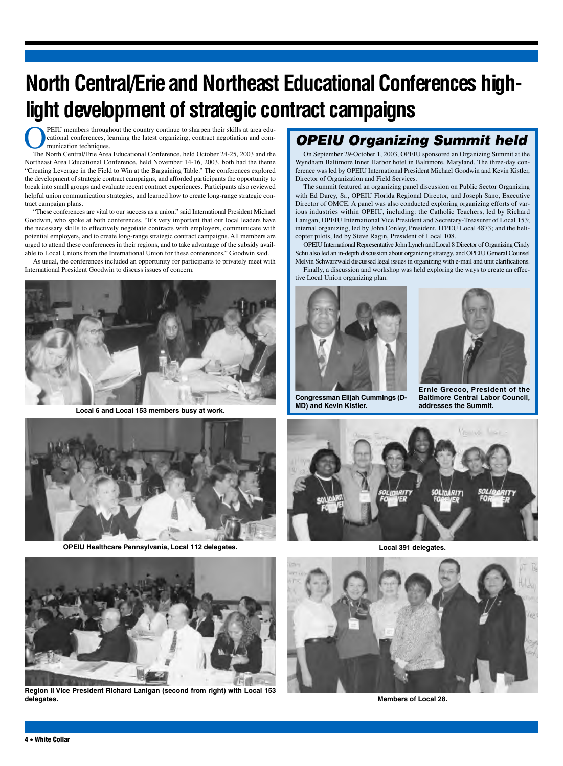# **North Central/Erie and Northeast Educational Conferences highlight development of strategic contract campaigns**

**OPEIU** members throughout the country continue to sharpen their skills at area edu-<br>cational conferences, learning the latest organizing, contract negotiation and com-<br>munication techniques.<br>The North Central/Erie Area Ed cational conferences, learning the latest organizing, contract negotiation and communication techniques.

The North Central/Erie Area Educational Conference, held October 24-25, 2003 and the Northeast Area Educational Conference, held November 14-16, 2003, both had the theme "Creating Leverage in the Field to Win at the Bargaining Table." The conferences explored the development of strategic contract campaigns, and afforded participants the opportunity to break into small groups and evaluate recent contract experiences. Participants also reviewed helpful union communication strategies, and learned how to create long-range strategic contract campaign plans.

"These conferences are vital to our success as a union," said International President Michael Goodwin, who spoke at both conferences. "It's very important that our local leaders have the necessary skills to effectively negotiate contracts with employers, communicate with potential employers, and to create long-range strategic contract campaigns. All members are urged to attend these conferences in their regions, and to take advantage of the subsidy available to Local Unions from the International Union for these conferences," Goodwin said.

As usual, the conferences included an opportunity for participants to privately meet with International President Goodwin to discuss issues of concern.



**and Exercise 153 members busy at work. and Exercise 2 and Kevin Kistler. Local 6 and Local 153 members busy at work. And Local 153 members busy at work.** 



**OPEIU Healthcare Pennsylvania, Local 112 delegates.**

#### *OPEIU Organizing Summit held*

On September 29-October 1, 2003, OPEIU sponsored an Organizing Summit at the Wyndham Baltimore Inner Harbor hotel in Baltimore, Maryland. The three-day conference was led by OPEIU International President Michael Goodwin and Kevin Kistler, Director of Organization and Field Services.

The summit featured an organizing panel discussion on Public Sector Organizing with Ed Darcy, Sr., OPEIU Florida Regional Director, and Joseph Sano, Executive Director of OMCE. A panel was also conducted exploring organizing efforts of various industries within OPEIU, including: the Catholic Teachers, led by Richard Lanigan, OPEIU International Vice President and Secretary-Treasurer of Local 153; internal organizing, led by John Conley, President, ITPEU Local 4873; and the helicopter pilots, led by Steve Ragin, President of Local 108.

OPEIU International Representative John Lynch and Local 8 Director of Organizing Cindy Schu also led an in-depth discussion about organizing strategy, and OPEIU General Counsel Melvin Schwarzwald discussed legal issues in organizing with e-mail and unit clarifications.

Finally, a discussion and workshop was held exploring the ways to create an effective Local Union organizing plan.



**Congressman Elijah Cummings (D-MD) and Kevin Kistler.**



**Ernie Grecco, President of the Baltimore Central Labor Council,**



**Local 391 delegates.**



**Region II Vice President Richard Lanigan (second from right) with Local 153 delegates.**



**Members of Local 28.**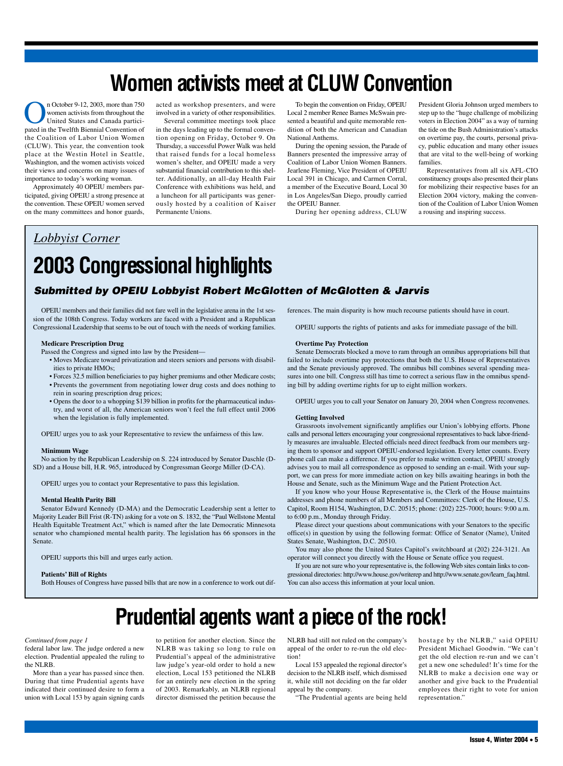## **Women activists meet at CLUW Convention**

n October 9-12, 2003, more than 750<br>women activists from throughout the<br>United States and Canada partici-<br>pated in the Twelfth Biennial Convention of women activists from throughout the United States and Canada participated in the Twelfth Biennial Convention of the Coalition of Labor Union Women (CLUW). This year, the convention took place at the Westin Hotel in Seattle, Washington, and the women activists voiced their views and concerns on many issues of importance to today's working woman.

Approximately 40 OPEIU members participated, giving OPEIU a strong presence at the convention. These OPEIU women served on the many committees and honor guards,

acted as workshop presenters, and were involved in a variety of other responsibilities.

Several committee meetings took place in the days leading up to the formal convention opening on Friday, October 9. On Thursday, a successful Power Walk was held that raised funds for a local homeless women's shelter, and OPEIU made a very substantial financial contribution to this shelter. Additionally, an all-day Health Fair Conference with exhibitions was held, and a luncheon for all participants was generously hosted by a coalition of Kaiser Permanente Unions.

To begin the convention on Friday, OPEIU Local 2 member Renee Barnes McSwain presented a beautiful and quite memorable rendition of both the American and Canadian National Anthems.

During the opening session, the Parade of Banners presented the impressive array of Coalition of Labor Union Women Banners. Jearlene Fleming, Vice President of OPEIU Local 391 in Chicago, and Carmen Corral, a member of the Executive Board, Local 30 in Los Angeles/San Diego, proudly carried the OPEIU Banner.

During her opening address, CLUW

President Gloria Johnson urged members to step up to the "huge challenge of mobilizing voters in Election 2004" as a way of turning the tide on the Bush Administration's attacks on overtime pay, the courts, personal privacy, public education and many other issues that are vital to the well-being of working families.

Representatives from all six AFL-CIO constituency groups also presented their plans for mobilizing their respective bases for an Election 2004 victory, making the convention of the Coalition of Labor Union Women a rousing and inspiring success.

#### *Lobbyist Corner*

# **2003 Congressional highlights**

#### *Submitted by OPEIU Lobbyist Robert McGlotten of McGlotten & Jarvis*

OPEIU members and their families did not fare well in the legislative arena in the 1st session of the 108th Congress. Today workers are faced with a President and a Republican Congressional Leadership that seems to be out of touch with the needs of working families.

#### **Medicare Prescription Drug**

Passed the Congress and signed into law by the President—

- Moves Medicare toward privatization and steers seniors and persons with disabilities to private HMOs;
- Forces 32.5 million beneficiaries to pay higher premiums and other Medicare costs; • Prevents the government from negotiating lower drug costs and does nothing to rein in soaring prescription drug prices;
- Opens the door to a whopping \$139 billion in profits for the pharmaceutical industry, and worst of all, the American seniors won't feel the full effect until 2006 when the legislation is fully implemented.

OPEIU urges you to ask your Representative to review the unfairness of this law.

#### **Minimum Wage**

No action by the Republican Leadership on S. 224 introduced by Senator Daschle (D-SD) and a House bill, H.R. 965, introduced by Congressman George Miller (D-CA).

OPEIU urges you to contact your Representative to pass this legislation.

#### **Mental Health Parity Bill**

Senator Edward Kennedy (D-MA) and the Democratic Leadership sent a letter to Majority Leader Bill Frist (R-TN) asking for a vote on S. 1832, the "Paul Wellstone Mental Health Equitable Treatment Act," which is named after the late Democratic Minnesota senator who championed mental health parity. The legislation has 66 sponsors in the Senate.

OPEIU supports this bill and urges early action.

#### **Patients' Bill of Rights**

Both Houses of Congress have passed bills that are now in a conference to work out dif-

ferences. The main disparity is how much recourse patients should have in court.

OPEIU supports the rights of patients and asks for immediate passage of the bill.

#### **Overtime Pay Protection**

Senate Democrats blocked a move to ram through an omnibus appropriations bill that failed to include overtime pay protections that both the U.S. House of Representatives and the Senate previously approved. The omnibus bill combines several spending measures into one bill. Congress still has time to correct a serious flaw in the omnibus spending bill by adding overtime rights for up to eight million workers.

OPEIU urges you to call your Senator on January 20, 2004 when Congress reconvenes.

#### **Getting Involved**

Grassroots involvement significantly amplifies our Union's lobbying efforts. Phone calls and personal letters encouraging your congressional representatives to back labor-friendly measures are invaluable. Elected officials need direct feedback from our members urging them to sponsor and support OPEIU-endorsed legislation. Every letter counts. Every phone call can make a difference. If you prefer to make written contact, OPEIU strongly advises you to mail all correspondence as opposed to sending an e-mail. With your support, we can press for more immediate action on key bills awaiting hearings in both the House and Senate, such as the Minimum Wage and the Patient Protection Act.

If you know who your House Representative is, the Clerk of the House maintains addresses and phone numbers of all Members and Committees: Clerk of the House, U.S. Capitol, Room H154, Washington, D.C. 20515; phone: (202) 225-7000; hours: 9:00 a.m. to 6:00 p.m., Monday through Friday.

Please direct your questions about communications with your Senators to the specific office(s) in question by using the following format: Office of Senator (Name), United States Senate, Washington, D.C. 20510.

You may also phone the United States Capitol's switchboard at (202) 224-3121. An operator will connect you directly with the House or Senate office you request.

If you are not sure who your representative is, the following Web sites contain links to congressional directories: http://www.house.gov/writerep and http://www.senate.gov/learn\_faq.html. You can also access this information at your local union.

## **Prudential agents want a piece of the rock!**

#### *Continued from page 1*

federal labor law. The judge ordered a new election. Prudential appealed the ruling to the NLRB.

More than a year has passed since then. During that time Prudential agents have indicated their continued desire to form a union with Local 153 by again signing cards

to petition for another election. Since the NLRB was taking so long to rule on Prudential's appeal of the administrative law judge's year-old order to hold a new election, Local 153 petitioned the NLRB for an entirely new election in the spring of 2003. Remarkably, an NLRB regional director dismissed the petition because the NLRB had still not ruled on the company's appeal of the order to re-run the old election!

Local 153 appealed the regional director's decision to the NLRB itself, which dismissed it, while still not deciding on the far older appeal by the company.

"The Prudential agents are being held

hostage by the NLRB," said OPEIU President Michael Goodwin. "We can't get the old election re-run and we can't get a new one scheduled! It's time for the NLRB to make a decision one way or another and give back to the Prudential employees their right to vote for union representation."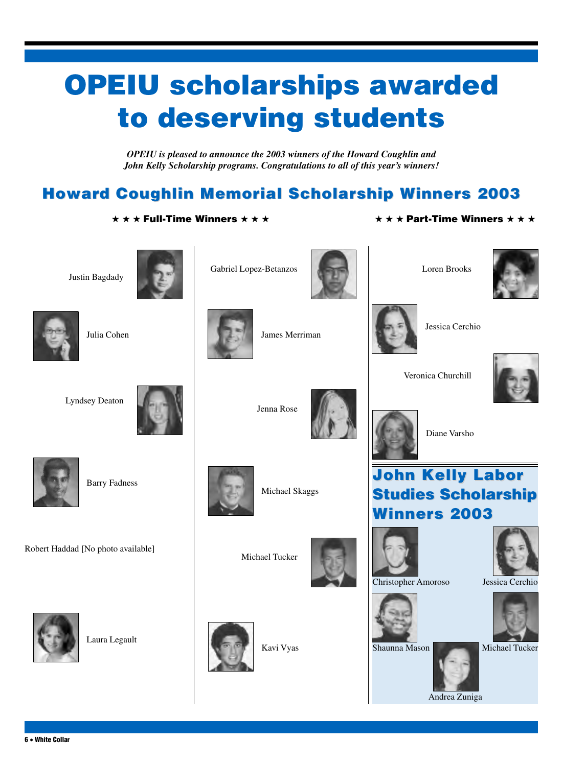# **OPEIU scholarships awarded to deserving students**

*OPEIU is pleased to announce the 2003 winners of the Howard Coughlin and John Kelly Scholarship programs. Congratulations to all of this year's winners!*

### **Howard Coughlin Memorial Scholarship Winners 2003**

**★ ★ ★ Full-Time Winners ★ ★ ★ ★ ★ ★ Part-Time Winners ★ ★ ★**





Gabriel Lopez-Betanzos



Loren Brooks





Julia Cohen

James Merriman

Jessica Cerchio

Veronica Churchill

Lyndsey Deaton



Jenna Rose



Diane Varsho





Barry Fadness

Robert Haddad [No photo available]



**6 • White Collar**

Laura Legault



Michael Skaggs

Michael Tucker

Kavi Vyas





Christopher Amoroso Jessica Cerchio









Andrea Zuniga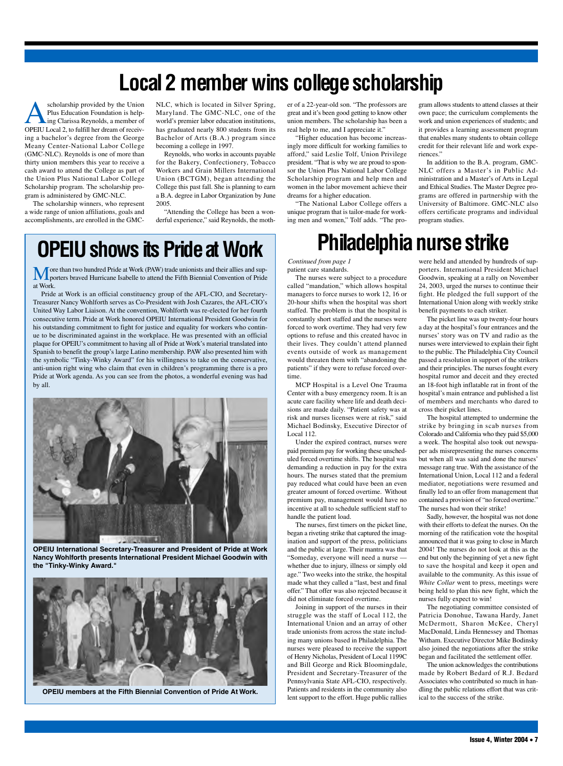## **Local 2 member wins college scholarship**

scholarship provided by the Union<br>Plus Education Foundation is help-<br>ing Clarissa Reynolds, a member of<br>OPEII I local 2 to fulfill her dream of receiv-Plus Education Foundation is helping Clarissa Reynolds, a member of OPEIU Local 2, to fulfill her dream of receiving a bachelor's degree from the George Meany Center-National Labor College (GMC-NLC). Reynolds is one of more than thirty union members this year to receive a cash award to attend the College as part of the Union Plus National Labor College Scholarship program. The scholarship program is administered by GMC-NLC.

The scholarship winners, who represent a wide range of union affiliations, goals and accomplishments, are enrolled in the GMC- NLC, which is located in Silver Spring, Maryland. The GMC-NLC, one of the world's premier labor education institutions, has graduated nearly 800 students from its Bachelor of Arts (B.A.) program since becoming a college in 1997.

Reynolds, who works in accounts payable for the Bakery, Confectionery, Tobacco Workers and Grain Millers International Union (BCTGM), began attending the College this past fall. She is planning to earn a B.A. degree in Labor Organization by June 2005.

"Attending the College has been a wonderful experience," said Reynolds, the moth-

### **OPEIU shows its Pride at Work**

More than two hundred Pride at Work (PAW) trade unionists and their allies and sup-<br>porters braved Hurricane Isabelle to attend the Fifth Biennial Convention of Pride at Work.

Pride at Work is an official constituency group of the AFL-CIO, and Secretary-Treasurer Nancy Wohlforth serves as Co-President with Josh Cazares, the AFL-CIO's United Way Labor Liaison. At the convention, Wohlforth was re-elected for her fourth consecutive term. Pride at Work honored OPEIU International President Goodwin for his outstanding commitment to fight for justice and equality for workers who continue to be discriminated against in the workplace. He was presented with an official plaque for OPEIU's commitment to having all of Pride at Work's material translated into Spanish to benefit the group's large Latino membership. PAW also presented him with the symbolic "Tinky-Winky Award" for his willingness to take on the conservative, anti-union right wing who claim that even in children's programming there is a pro Pride at Work agenda. As you can see from the photos, a wonderful evening was had by all.



**OPEIU International Secretary-Treasurer and President of Pride at Work Nancy Wohlforth presents International President Michael Goodwin with the "Tinky-Winky Award."**



**OPEIU members at the Fifth Biennial Convention of Pride At Work.**

er of a 22-year-old son. "The professors are great and it's been good getting to know other union members. The scholarship has been a real help to me, and I appreciate it."

"Higher education has become increasingly more difficult for working families to afford," said Leslie Tolf, Union Privilege president. "That is why we are proud to sponsor the Union Plus National Labor College Scholarship program and help men and women in the labor movement achieve their dreams for a higher education.

"The National Labor College offers a unique program that is tailor-made for working men and women," Tolf adds. "The program allows students to attend classes at their own pace; the curriculum complements the work and union experiences of students; and it provides a learning assessment program that enables many students to obtain college credit for their relevant life and work experiences."

In addition to the B.A. program, GMC-NLC offers a Master's in Public Administration and a Master's of Arts in Legal and Ethical Studies. The Master Degree programs are offered in partnership with the University of Baltimore. GMC-NLC also offers certificate programs and individual program studies.

## **Philadelphia nurse strike**

patient care standards. *Continued from page 1*

The nurses were subject to a procedure called "mandation," which allows hospital managers to force nurses to work 12, 16 or 20-hour shifts when the hospital was short staffed. The problem is that the hospital is constantly short staffed and the nurses were forced to work overtime. They had very few options to refuse and this created havoc in their lives. They couldn't attend planned events outside of work as management would threaten them with "abandoning the patients" if they were to refuse forced overtime.

MCP Hospital is a Level One Trauma Center with a busy emergency room. It is an acute care facility where life and death decisions are made daily. "Patient safety was at risk and nurses licenses were at risk," said Michael Bodinsky, Executive Director of Local 112.

Under the expired contract, nurses were paid premium pay for working these unscheduled forced overtime shifts. The hospital was demanding a reduction in pay for the extra hours. The nurses stated that the premium pay reduced what could have been an even greater amount of forced overtime. Without premium pay, management would have no incentive at all to schedule sufficient staff to handle the patient load.

The nurses, first timers on the picket line, began a riveting strike that captured the imagination and support of the press, politicians and the public at large. Their mantra was that "Someday, everyone will need a nurse whether due to injury, illness or simply old age." Two weeks into the strike, the hospital made what they called a "last, best and final offer." That offer was also rejected because it did not eliminate forced overtime.

Joining in support of the nurses in their truggle was the staff of Local 112, the International Union and an array of other trade unionists from across the state including many unions based in Philadelphia. The nurses were pleased to receive the support of Henry Nicholas, President of Local 1199C and Bill George and Rick Bloomingdale, President and Secretary-Treasurer of the Pennsylvania State AFL-CIO, respectively. Patients and residents in the community also lent support to the effort. Huge public rallies

were held and attended by hundreds of supporters. International President Michael Goodwin, speaking at a rally on November 24, 2003, urged the nurses to continue their fight. He pledged the full support of the International Union along with weekly strike benefit payments to each striker.

The picket line was up twenty-four hours a day at the hospital's four entrances and the nurses' story was on TV and radio as the nurses were interviewed to explain their fight to the public. The Philadelphia City Council passed a resolution in support of the strikers and their principles. The nurses fought every hospital rumor and deceit and they erected an 18-foot high inflatable rat in front of the hospital's main entrance and published a list of members and merchants who dared to cross their picket lines.

The hospital attempted to undermine the strike by bringing in scab nurses from Colorado and California who they paid \$5,000 a week. The hospital also took out newspaper ads misrepresenting the nurses concerns but when all was said and done the nurses' message rang true. With the assistance of the International Union, Local 112 and a federal mediator, negotiations were resumed and finally led to an offer from management that contained a provision of "no forced overtime." The nurses had won their strike!

Sadly, however, the hospital was not done with their efforts to defeat the nurses. On the morning of the ratification vote the hospital announced that it was going to close in March 2004! The nurses do not look at this as the end but only the beginning of yet a new fight to save the hospital and keep it open and available to the community. As this issue of *White Collar* went to press, meetings were being held to plan this new fight, which the nurses fully expect to win!

The negotiating committee consisted of Patricia Donohue, Tawana Hardy, Janet McDermott, Sharon McKee, Cheryl MacDonald, Linda Hennessey and Thomas Witham. Executive Director Mike Bodinsky also joined the negotiations after the strike began and facilitated the settlement offer.

The union acknowledges the contributions made by Robert Bedard of R.J. Bedard Associates who contributed so much in handling the public relations effort that was critical to the success of the strike.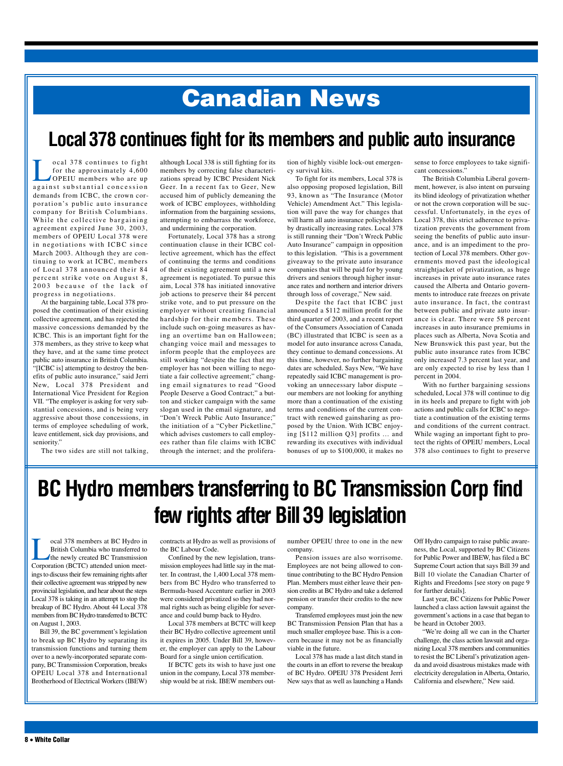# **Canadian News**

### **Local378 continues fight for its members and public auto insurance**

cal 378 continues to fight<br>for the approximately 4,600<br>OPEIU members who are up for the approximately 4,600 OPEIU members who are up against substantial concession demands from ICBC, the crown corporation's public auto insurance company for British Columbians. While the collective bargaining agreement expired June 30, 2003, members of OPEIU Local 378 were in negotiations with ICBC since March 2003. Although they are continuing to work at ICBC, members of Local 378 announced their 84 percent strike vote on August 8, 2003 because of the lack of progress in negotiations.

At the bargaining table, Local 378 proposed the continuation of their existing collective agreement, and has rejected the massive concessions demanded by the ICBC. This is an important fight for the 378 members, as they strive to keep what they have, and at the same time protect public auto insurance in British Columbia. "[ICBC is] attempting to destroy the benefits of public auto insurance," said Jerri New, Local 378 President and International Vice President for Region VII. "The employer is asking for very substantial concessions, and is being very aggressive about those concessions, in terms of employee scheduling of work, leave entitlement, sick day provisions, and seniority."

The two sides are still not talking,

although Local 338 is still fighting for its members by correcting false characterizations spread by ICBC President Nick Geer. In a recent fax to Geer, New accused him of publicly demeaning the work of ICBC employees, withholding information from the bargaining sessions, attempting to embarrass the workforce, and undermining the corporation.

Fortunately, Local 378 has a strong continuation clause in their ICBC collective agreement, which has the effect of continuing the terms and conditions of their existing agreement until a new agreement is negotiated. To pursue this aim, Local 378 has initiated innovative job actions to preserve their 84 percent strike vote, and to put pressure on the employer without creating financial hardship for their members. These include such on-going measures as having an overtime ban on Halloween; changing voice mail and messages to inform people that the employees are still working "despite the fact that my employer has not been willing to negotiate a fair collective agreement;" changing email signatures to read "Good People Deserve a Good Contract;" a button and sticker campaign with the same slogan used in the email signature, and "Don't Wreck Public Auto Insurance;" the initiation of a "Cyber Picketline," which advises customers to call employees rather than file claims with ICBC through the internet; and the proliferation of highly visible lock-out emergency survival kits.

To fight for its members, Local 378 is also opposing proposed legislation, Bill 93, known as "The Insurance (Motor Vehicle) Amendment Act." This legislation will pave the way for changes that will harm all auto insurance policyholders by drastically increasing rates. Local 378 is still running their "Don't Wreck Public Auto Insurance" campaign in opposition to this legislation. "This is a government giveaway to the private auto insurance companies that will be paid for by young drivers and seniors through higher insurance rates and northern and interior drivers through loss of coverage," New said.

Despite the fact that ICBC just announced a \$112 million profit for the third quarter of 2003, and a recent report of the Consumers Association of Canada (BC) illustrated that ICBC is seen as a model for auto insurance across Canada, they continue to demand concessions. At this time, however, no further bargaining dates are scheduled. Says New, "We have repeatedly said ICBC management is provoking an unnecessary labor dispute – our members are not looking for anything more than a continuation of the existing terms and conditions of the current contract with renewed gainsharing as proposed by the Union. With ICBC enjoying [\$112 million Q3] profits … and rewarding its executives with individual bonuses of up to \$100,000, it makes no sense to force employees to take significant concessions."

The British Columbia Liberal government, however, is also intent on pursuing its blind ideology of privatization whether or not the crown corporation will be successful. Unfortunately, in the eyes of Local 378, this strict adherence to privatization prevents the government from seeing the benefits of public auto insurance, and is an impediment to the protection of Local 378 members. Other governments moved past the ideological straightjacket of privatization, as huge increases in private auto insurance rates caused the Alberta and Ontario governments to introduce rate freezes on private auto insurance. In fact, the contrast between public and private auto insurance is clear. There were 58 percent increases in auto insurance premiums in places such as Alberta, Nova Scotia and New Brunswick this past year, but the public auto insurance rates from ICBC only increased 7.3 percent last year, and are only expected to rise by less than 1 percent in 2004.

With no further bargaining sessions scheduled, Local 378 will continue to dig in its heels and prepare to fight with job actions and public calls for ICBC to negotiate a continuation of the existing terms and conditions of the current contract. While waging an important fight to protect the rights of OPEIU members, Local 378 also continues to fight to preserve

## **BC Hydro members transferring to BC Transmission Corp find few rights after Bill39 legislation**

The coal 378 members at BC Hydro in<br>British Columbia who transferred to<br>the newly created BC Transmission<br>Corporation (BCTC) attended union meet-British Columbia who transferred to the newly created BC Transmission Corporation (BCTC) attended union meetings to discuss their few remaining rights after their collective agreement was stripped by new provincial legislation, and hear about the steps Local 378 is taking in an attempt to stop the breakup of BC Hydro. About 44 Local 378 members from BC Hydro transferred to BCTC on August 1, 2003.

Bill 39, the BC government's legislation to break up BC Hydro by separating its transmission functions and turning them over to a newly-incorporated separate company, BC Transmission Corporation, breaks OPEIU Local 378 and International Brotherhood of Electrical Workers (IBEW)

contracts at Hydro as well as provisions of the BC Labour Code.

Confined by the new legislation, transmission employees had little say in the matter. In contrast, the 1,400 Local 378 members from BC Hydro who transferred to Bermuda-based Accenture earlier in 2003 were considered privatized so they had normal rights such as being eligible for severance and could bump back to Hydro.

Local 378 members at BCTC will keep their BC Hydro collective agreement until it expires in 2005. Under Bill 39, however, the employer can apply to the Labour Board for a single union certification.

If BCTC gets its wish to have just one union in the company, Local 378 membership would be at risk. IBEW members outnumber OPEIU three to one in the new company.

Pension issues are also worrisome. Employees are not being allowed to continue contributing to the BC Hydro Pension Plan. Members must either leave their pension credits at BC Hydro and take a deferred pension or transfer their credits to the new company.

Transferred employees must join the new BC Transmission Pension Plan that has a much smaller employee base. This is a concern because it may not be as financially viable in the future.

Local 378 has made a last ditch stand in the courts in an effort to reverse the breakup of BC Hydro. OPEIU 378 President Jerri New says that as well as launching a Hands Off Hydro campaign to raise public awareness, the Local, supported by BC Citizens for Public Power and IBEW, has filed a BC Supreme Court action that says Bill 39 and Bill 10 violate the Canadian Charter of Rights and Freedoms [see story on page 9 for further details].

Last year, BC Citizens for Public Power launched a class action lawsuit against the government's actions in a case that began to be heard in October 2003.

"We're doing all we can in the Charter challenge, the class action lawsuit and organizing Local 378 members and communities to resist the BC Liberal's privatization agenda and avoid disastrous mistakes made with electricity deregulation in Alberta, Ontario, California and elsewhere," New said.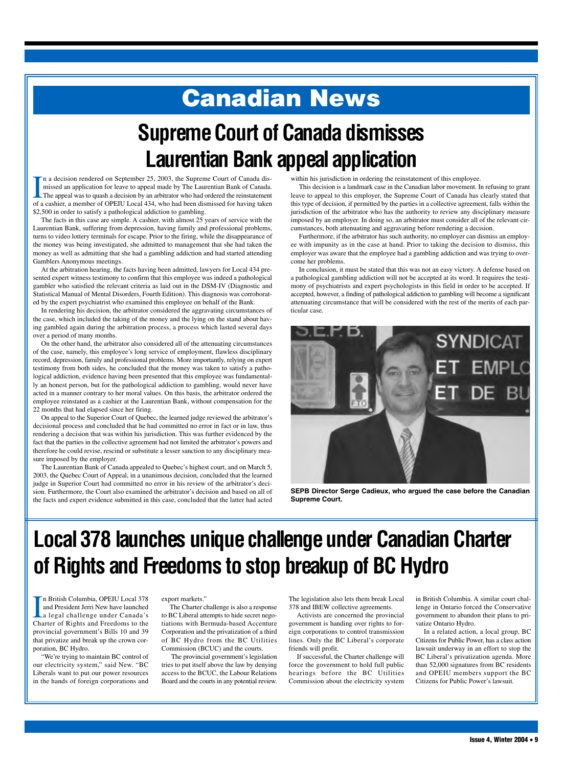# **Canadian News**

# **Supreme Court of Canada dismisses Laurentian Bank appealapplication**

 $\prod_{\text{of a}}$ n a decision rendered on September 25, 2003, the Supreme Court of Canada dismissed an application for leave to appeal made by The Laurentian Bank of Canada. The appeal was to quash a decision by an arbitrator who had ordered the reinstatement of a cashier, a member of OPEIU Local 434, who had been dismissed for having taken \$2,500 in order to satisfy a pathological addiction to gambling.

The facts in this case are simple. A cashier, with almost 25 years of service with the Laurentian Bank, suffering from depression, having family and professional problems, turns to video lottery terminals for escape. Prior to the firing, while the disappearance of the money was being investigated, she admitted to management that she had taken the money as well as admitting that she had a gambling addiction and had started attending Gamblers Anonymous meetings.

At the arbitration hearing, the facts having been admitted, lawyers for Local 434 presented expert witness testimony to confirm that this employee was indeed a pathological gambler who satisfied the relevant criteria as laid out in the DSM-IV (Diagnostic and Statistical Manual of Mental Disorders, Fourth Edition). This diagnosis was corroborated by the expert psychiatrist who examined this employee on behalf of the Bank.

In rendering his decision, the arbitrator considered the aggravating circumstances of the case, which included the taking of the money and the lying on the stand about having gambled again during the arbitration process, a process which lasted several days over a period of many months.

On the other hand, the arbitrator also considered all of the attenuating circumstances of the case, namely, this employee's long service of employment, flawless disciplinary record, depression, family and professional problems. More importantly, relying on expert testimony from both sides, he concluded that the money was taken to satisfy a pathological addiction, evidence having been presented that this employee was fundamentally an honest person, but for the pathological addiction to gambling, would never have acted in a manner contrary to her moral values. On this basis, the arbitrator ordered the employee reinstated as a cashier at the Laurentian Bank, without compensation for the 22 months that had elapsed since her firing.

On appeal to the Superior Court of Quebec, the learned judge reviewed the arbitrator's decisional process and concluded that he had committed no error in fact or in law, thus rendering a decision that was within his jurisdiction. This was further evidenced by the fact that the parties in the collective agreement had not limited the arbitrator's powers and therefore he could revise, rescind or substitute a lesser sanction to any disciplinary measure imposed by the employer.

The Laurentian Bank of Canada appealed to Quebec's highest court, and on March 5, 2003, the Quebec Court of Appeal, in a unanimous decision, concluded that the learned judge in Superior Court had committed no error in his review of the arbitrator's decision. Furthermore, the Court also examined the arbitrator's decision and based on all of the facts and expert evidence submitted in this case, concluded that the latter had acted

within his jurisdiction in ordering the reinstatement of this employee.

This decision is a landmark case in the Canadian labor movement. In refusing to grant leave to appeal to this employer, the Supreme Court of Canada has clearly stated that this type of decision, if permitted by the parties in a collective agreement, falls within the jurisdiction of the arbitrator who has the authority to review any disciplinary measure imposed by an employer. In doing so, an arbitrator must consider all of the relevant circumstances, both attenuating and aggravating before rendering a decision.

Furthermore, if the arbitrator has such authority, no employer can dismiss an employee with impunity as in the case at hand. Prior to taking the decision to dismiss, this employer was aware that the employee had a gambling addiction and was trying to overcome her problems.

In conclusion, it must be stated that this was not an easy victory. A defense based on a pathological gambling addiction will not be accepted at its word. It requires the testimony of psychiatrists and expert psychologists in this field in order to be accepted. If accepted, however, a finding of pathological addiction to gambling will become a significant attenuating circumstance that will be considered with the rest of the merits of each particular case.



**SEPB Director Serge Cadieux, who argued the case before the Canadian Supreme Court.**

## Local 378 launches unique challenge under Canadian Charter **of Rights and Freedoms to stop breakup of BC Hydro**

In British Columbia, OPEIU Local 378<br>
and President Jerri New have launched<br>
a legal challenge under Canada's<br>
Charter of Rights and Freedoms to the n British Columbia, OPEIU Local 378 and President Jerri New have launched a legal challenge under Canada's provincial government's Bills 10 and 39 that privatize and break up the crown corporation, BC Hydro.

"We're trying to maintain BC control of our electricity system," said New. "BC Liberals want to put our power resources in the hands of foreign corporations and

#### export markets."

The Charter challenge is also a response to BC Liberal attempts to hide secret negotiations with Bermuda-based Accenture Corporation and the privatization of a third of BC Hydro from the BC Utilities Commission (BCUC) and the courts.

The provincial government's legislation tries to put itself above the law by denying access to the BCUC, the Labour Relations Board and the courts in any potential review.

The legislation also lets them break Local 378 and IBEW collective agreements.

Activists are concerned the provincial government is handing over rights to foreign corporations to control transmission lines. Only the BC Liberal's corporate friends will profit.

If successful, the Charter challenge will force the government to hold full public hearings before the BC Utilities Commission about the electricity system

in British Columbia. A similar court challenge in Ontario forced the Conservative government to abandon their plans to privatize Ontario Hydro.

In a related action, a local group, BC Citizens for Public Power, has a class action lawsuit underway in an effort to stop the BC Liberal's privatization agenda. More than 52,000 signatures from BC residents and OPEIU members support the BC Citizens for Public Power's lawsuit.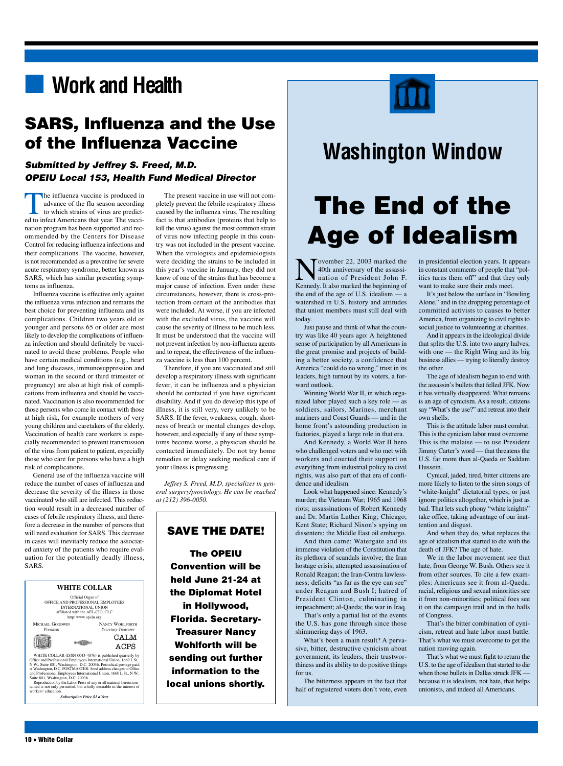### **■ Work and Health**

#### **SARS, Influenza and the Use of the Influenza Vaccine**

#### *Submitted by Jeffrey S. Freed, M.D. OPEIU Local 153, Health Fund Medical Director*

The influenza vaccine is produced in advance of the flu season according to which strains of virus are predicted to infect Americans that year. The vaccination program has been supported and recommended by the Centers for Disease Control for reducing influenza infections and their complications. The vaccine, however, is not recommended as a preventive for severe acute respiratory syndrome, better known as SARS, which has similar presenting symptoms as influenza.

Influenza vaccine is effective only against the influenza virus infection and remains the best choice for preventing influenza and its complications. Children two years old or younger and persons 65 or older are most likely to develop the complications of influenza infection and should definitely be vaccinated to avoid these problems. People who have certain medical conditions (e.g., heart and lung diseases, immunosuppression and woman in the second or third trimester of pregnancy) are also at high risk of complications from influenza and should be vaccinated. Vaccination is also recommended for those persons who come in contact with those at high risk, for example mothers of very young children and caretakers of the elderly. Vaccination of health care workers is especially recommended to prevent transmission of the virus from patient to patient, especially those who care for persons who have a high risk of complications.

General use of the influenza vaccine will reduce the number of cases of influenza and decrease the severity of the illness in those vaccinated who still are infected. This reduction would result in a decreased number of cases of febrile respiratory illness, and therefore a decrease in the number of persons that will need evaluation for SARS. This decrease in cases will inevitably reduce the associated anxiety of the patients who require evaluation for the potentially deadly illness, SARS.



The present vaccine in use will not completely prevent the febrile respiratory illness caused by the influenza virus. The resulting fact is that antibodies (proteins that help to kill the virus) against the most common strain of virus now infecting people in this country was not included in the present vaccine. When the virologists and epidemiologists were deciding the strains to be included in this year's vaccine in January, they did not know of one of the strains that has become a major cause of infection. Even under these circumstances, however, there is cross-protection from certain of the antibodies that were included. At worse, if you are infected with the excluded virus, the vaccine will cause the severity of illness to be much less. It must be understood that the vaccine will not prevent infection by non-influenza agents and to repeat, the effectiveness of the influenza vaccine is less than 100 percent.

Therefore, if you are vaccinated and still develop a respiratory illness with significant fever, it can be influenza and a physician should be contacted if you have significant disability. And if you do develop this type of illness, it is still very, very unlikely to be SARS. If the fever, weakness, cough, shortness of breath or mental changes develop, however, and especially if any of these symptoms become worse, a physician should be contacted immediately. Do not try home remedies or delay seeking medical care if your illness is progressing.

*Jeffrey S. Freed, M.D. specializes in general surgery/proctology. He can be reached at (212) 396-0050.*

#### **SAVE THE DATE!**

**The OPEIU Convention will be held June 21-24 at the Diplomat Hotel in Hollywood, Florida. Secretary-Treasurer Nancy Wohlforth will be sending out further information to the local unions shortly.**



### **Washington Window**

# **The End of the Age of Idealism**

Tovember  $22$ ,  $2003$  marked the 40th anniversary of the assassination of President John F. Kennedy. It also marked the beginning of the end of the age of U.S. idealism — a watershed in U.S. history and attitudes that union members must still deal with today.

Just pause and think of what the country was like 40 years ago: A heightened sense of participation by all Americans in the great promise and projects of building a better society, a confidence that America "could do no wrong," trust in its leaders, high turnout by its voters, a forward outlook.

Winning World War II, in which organized labor played such a key role — as soldiers, sailors, Marines, merchant mariners and Coast Guards — and in the home front's astounding production in factories, played a large role in that era.

And Kennedy, a World War II hero who challenged voters and who met with workers and courted their support on everything from industrial policy to civil rights, was also part of that era of confidence and idealism.

Look what happened since: Kennedy's murder; the Vietnam War; 1965 and 1968 riots; assassinations of Robert Kennedy and Dr. Martin Luther King; Chicago; Kent State; Richard Nixon's spying on dissenters; the Middle East oil embargo.

And then came: Watergate and its immense violation of the Constitution that its plethora of scandals involve; the Iran hostage crisis; attempted assassination of Ronald Reagan; the Iran-Contra lawlessness; deficits "as far as the eye can see" under Reagan and Bush I; hatred of President Clinton, culminating in impeachment; al-Qaeda; the war in Iraq.

That's only a partial list of the events the U.S. has gone through since those shimmering days of 1963.

What's been a main result? A pervasive, bitter, destructive cynicism about government, its leaders, their trustworthiness and its ability to do positive things for us.

The bitterness appears in the fact that half of registered voters don't vote, even in presidential election years. It appears in constant comments of people that "politics turns them off" and that they only want to make sure their ends meet.

It's just below the surface in "Bowling Alone," and in the dropping percentage of committed activists to causes to better America, from organizing to civil rights to social justice to volunteering at charities.

And it appears in the ideological divide that splits the U.S. into two angry halves, with one — the Right Wing and its big business allies — trying to literally destroy the other.

The age of idealism began to end with the assassin's bullets that felled JFK. Now it has virtually disappeared. What remains is an age of cynicism. As a result, citizens say "What's the use?" and retreat into their own shells.

This is the attitude labor must combat. This is the cynicism labor must overcome. This is the malaise — to use President Jimmy Carter's word — that threatens the U.S. far more than al-Qaeda or Saddam Hussein.

Cynical, jaded, tired, bitter citizens are more likely to listen to the siren songs of "white-knight" dictatorial types, or just ignore politics altogether, which is just as bad. That lets such phony "white knights" take office, taking advantage of our inattention and disgust.

And when they do, what replaces the age of idealism that started to die with the death of JFK? The age of hate.

We in the labor movement see that hate, from George W. Bush. Others see it from other sources. To cite a few examples: Americans see it from al-Qaeda; racial, religious and sexual minorities see it from non-minorities; political foes see it on the campaign trail and in the halls of Congress.

That's the bitter combination of cynicism, retreat and hate labor must battle. That's what we must overcome to get the nation moving again.

That's what we must fight to return the U.S. to the age of idealism that started to die when those bullets in Dallas struck JFK because it is idealism, not hate, that helps unionists, and indeed all Americans.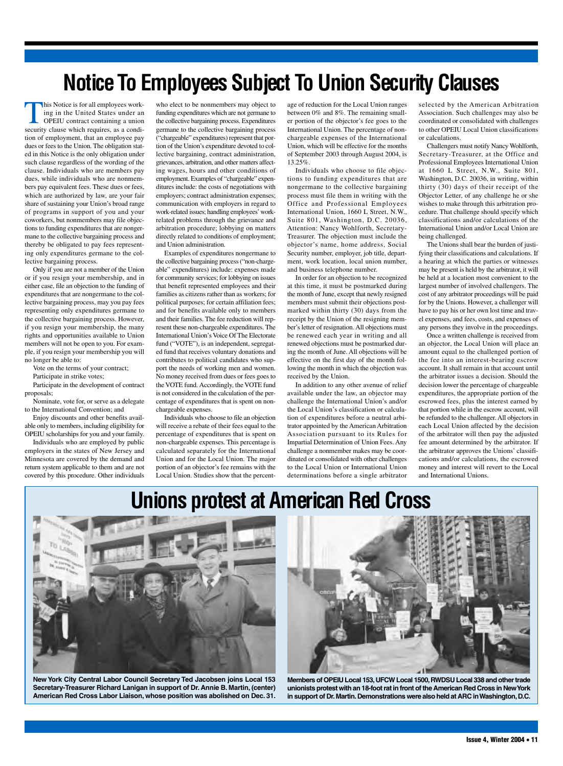## **Notice To Employees Subject To Union Security Clauses**

In Notice is for all employees working in the United States under an OPEIU contract containing a union security clause which requires, as a condition of employment, that an employee pay dues or fees to the Union. The obligation stated in this Notice is the only obligation under such clause regardless of the wording of the clause. Individuals who are members pay dues, while individuals who are nonmembers pay equivalent fees. These dues or fees, which are authorized by law, are your fair share of sustaining your Union's broad range of programs in support of you and your coworkers, but nonmembers may file objections to funding expenditures that are nongermane to the collective bargaining process and thereby be obligated to pay fees representing only expenditures germane to the collective bargaining process.

Only if you are not a member of the Union or if you resign your membership, and in either case, file an objection to the funding of expenditures that are nongermane to the collective bargaining process, may you pay fees representing only expenditures germane to the collective bargaining process. However, if you resign your membership, the many rights and opportunities available to Union members will not be open to you. For example, if you resign your membership you will no longer be able to:

Vote on the terms of your contract;

Participate in strike votes;

Participate in the development of contract proposals;

Nominate, vote for, or serve as a delegate to the International Convention; and

Enjoy discounts and other benefits available only to members, including eligibility for

OPEIU scholarships for you and your family. Individuals who are employed by public employers in the states of New Jersey and Minnesota are covered by the demand and return system applicable to them and are not covered by this procedure. Other individuals who elect to be nonmembers may object to funding expenditures which are not germane to the collective bargaining process. Expenditures germane to the collective bargaining process ("chargeable" expenditures) represent that portion of the Union's expenditure devoted to collective bargaining, contract administration, grievances, arbitration, and other matters affecting wages, hours and other conditions of employment. Examples of "chargeable" expenditures include: the costs of negotiations with employers; contract administration expenses; communication with employers in regard to work-related issues; handling employees'workrelated problems through the grievance and arbitration procedure; lobbying on matters directly related to conditions of employment; and Union administration.

Examples of expenditures nongermane to the collective bargaining process ("non-chargeable" expenditures) include: expenses made for community services; for lobbying on issues that benefit represented employees and their families as citizens rather than as workers; for political purposes; for certain affiliation fees; and for benefits available only to members and their families. The fee reduction will represent these non-chargeable expenditures. The International Union's Voice Of The Electorate fund ("VOTE"), is an independent, segregated fund that receives voluntary donations and contributes to political candidates who support the needs of working men and women. No money received from dues or fees goes to the VOTE fund. Accordingly, the VOTE fund is not considered in the calculation of the percentage of expenditures that is spent on nonchargeable expenses.

Individuals who choose to file an objection will receive a rebate of their fees equal to the percentage of expenditures that is spent on non-chargeable expenses. This percentage is calculated separately for the International Union and for the Local Union. The major portion of an objector's fee remains with the Local Union. Studies show that the percentage of reduction for the Local Union ranges between 0% and 8%. The remaining smaller portion of the objector's fee goes to the International Union. The percentage of nonchargeable expenses of the International Union, which will be effective for the months of September 2003 through August 2004, is 13.25%.

Individuals who choose to file objections to funding expenditures that are nongermane to the collective bargaining process must file them in writing with the Office and Professional Employees International Union, 1660 L Street, N.W., Suite 801, Washington, D.C. 20036, Attention: Nancy Wohlforth, Secretary-Treasurer. The objection must include the objector's name, home address, Social Security number, employer, job title, department, work location, local union number, and business telephone number.

In order for an objection to be recognized at this time, it must be postmarked during the month of June, except that newly resigned members must submit their objections postmarked within thirty (30) days from the receipt by the Union of the resigning member's letter of resignation. All objections must be renewed each year in writing and all renewed objections must be postmarked during the month of June. All objections will be effective on the first day of the month following the month in which the objection was received by the Union.

In addition to any other avenue of relief available under the law, an objector may challenge the International Union's and/or the Local Union's classification or calculation of expenditures before a neutral arbitrator appointed by the American Arbitration Association pursuant to its Rules for Impartial Determination of Union Fees. Any challenge a nonmember makes may be coordinated or consolidated with other challenges to the Local Union or International Union determinations before a single arbitrator

selected by the American Arbitration Association. Such challenges may also be coordinated or consolidated with challenges to other OPEIU Local Union classifications or calculations.

Challengers must notify Nancy Wohlforth, Secretary-Treasurer, at the Office and Professional Employees International Union at 1660 L Street, N.W., Suite 801, Washington, D.C. 20036, in writing, within thirty (30) days of their receipt of the Objector Letter, of any challenge he or she wishes to make through this arbitration procedure. That challenge should specify which classifications and/or calculations of the International Union and/or Local Union are being challenged.

The Unions shall bear the burden of justifying their classifications and calculations. If a hearing at which the parties or witnesses may be present is held by the arbitrator, it will be held at a location most convenient to the largest number of involved challengers. The cost of any arbitrator proceedings will be paid for by the Unions. However, a challenger will have to pay his or her own lost time and travel expenses, and fees, costs, and expenses of any persons they involve in the proceedings.

Once a written challenge is received from an objector, the Local Union will place an amount equal to the challenged portion of the fee into an interest-bearing escrow account. It shall remain in that account until the arbitrator issues a decision. Should the decision lower the percentage of chargeable expenditures, the appropriate portion of the escrowed fees, plus the interest earned by that portion while in the escrow account, will be refunded to the challenger. All objectors in each Local Union affected by the decision of the arbitrator will then pay the adjusted fee amount determined by the arbitrator. If the arbitrator approves the Unions' classifications and/or calculations, the escrowed money and interest will revert to the Local and International Unions.

## **Unions protest at American Red Cross**



**New York City Central Labor Council Secretary Ted Jacobsen joins Local 153 Secretary-Treasurer Richard Lanigan in support of Dr. Annie B. Martin, (center) American Red Cross Labor Liaison, whose position was abolished on Dec. 31.**



**Members of OPEIU Local 153,UFCW Local 1500,RWDSU Local 338 and other trade unionists protest with an 18-foot rat in front of the American Red Cross in NewYork in support of Dr.Martin.Demonstrations were also held at ARC inWashington,D.C.**